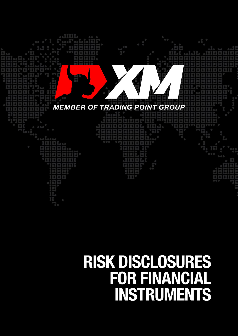

# **RISK DISCLOSURES<br>FOR FINANCIAL** INSTRUMENTS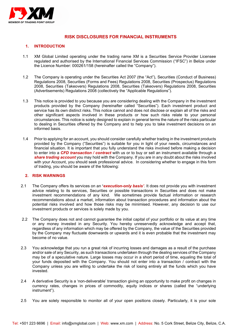

# **RISK DISCLOSURES FOR FINANCIAL INSTRUMENTS**

# **1. INTRODUCTION**

- 1.1 XM Global Limited operating under the trading name XM is a Securities Service Provider Licensee regulated and authorised by the International Financial Services Commission ("IFSC") in Belize under the Licence Number: 000261/158 (hereinafter called the "Company").
- 1.2 The Company is operating under the Securities Act 2007 (the "Act"), [Securities \(Conduct of Business\)](http://www.fsaseychelles.sc/images/files/Securities(Conduct%20of%20Business)%20Reglations%202008).pdf)  [Regulations 2008,](http://www.fsaseychelles.sc/images/files/Securities(Conduct%20of%20Business)%20Reglations%202008).pdf) [Securities \(Forms and Fees\) Regulations 2008,](http://www.fsaseychelles.sc/images/files/Securities%20(Forms%20and%20Fees)%20Regulations,%202008.pdf) [Securities \(Prospectus\) Regulations](http://www.fsaseychelles.sc/images/files/Securities%20(Prospectus)%20Regulations,%202008.pdf)  [2008,](http://www.fsaseychelles.sc/images/files/Securities%20(Prospectus)%20Regulations,%202008.pdf) [Securities \(Takeovers\) Regulations 2008, Securities \(Takeovers\) Regulations 2008,](http://www.fsaseychelles.sc/images/files/Securities%20(Takeovers)%20Regulations,%202008.pdf) [Securities](http://www.fsaseychelles.sc/images/files/Securities%20(Advertisements)%20Regulations,%202008.pdf)  [\(Advertisements\) Regulations 2008](http://www.fsaseychelles.sc/images/files/Securities%20(Advertisements)%20Regulations,%202008.pdf) (collectively the "Applicable Regulations").
- 1.3 This notice is provided to you because you are considering dealing with the Company in the investment products provided by the Company (hereinafter called "Securities"). Each investment product and service has its own distinct risks. This notice cannot and does not disclose or explain all of the risks and other significant aspects involved in these products or how such risks relate to your personal circumstances. This notice is solely designed to explain in general terms the nature of the risks particular to dealing in Securities offered by the Company and to help you to take investment decisions on an informed basis.
- 1.4 Prior to applying for an account, you should consider carefully whether trading in the investment products provided by the Company ("Securities") is suitable for you in light of your needs, circumstances and financial situation. It is important that you fully understand the risks involved before making a decision to enter into a *CFD transaction / contract* with us or to buy or sell an instrument available through a *share trading account* you may hold with the Company. If you are in any doubt about the risks involved with your Account, you should seek professional advice. In considering whether to engage in this form of trading, you should be aware of the following:

#### **2. RISK WARNINGS**

- 2.1 The Company offers its services on an **'***execution-only basis'*. It does not provide you with investment advice relating to its services, Securities or possible transactions in Securities and does not make investment recommendations of any kind. We sometimes provide factual information or research recommendations about a market, information about transaction procedures and information about the potential risks involved and how those risks may be minimised. However, any decision to use our investment products or services is solely made by you.
- 2.2 The Company does not and cannot guarantee the initial capital of your portfolio or its value at any time or any money invested in any Security. You hereby unreservedly acknowledge and accept that, regardless of any information which may be offered by the Company, the value of the Securities provided by the Company may fluctuate downwards or upwards and it is even probable that the investment may become of no value.
- 2.3 You acknowledge that you run a great risk of incurring losses and damages as a result of the purchase and/or sale of any Security, as such transactions undertaken through the dealing services of the Company may be of a speculative nature. Large losses may occur in a short period of time, equaling the total of your funds deposited with the Company. You should not enter into a transaction / contract with the Company unless you are willing to undertake the risk of losing entirely all the funds which you have invested.
- 2.4 A derivative Security is a 'non-deliverable' transaction giving an opportunity to make profit on changes in currency rates, changes in prices of commodity, equity indices or shares (called the "underlying instrument").
- 2.5 You are solely responsible to monitor all of your open positions closely. Particularly, it is your sole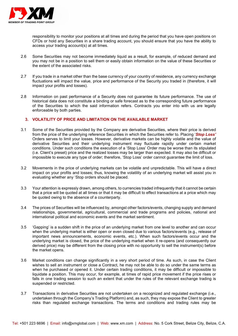

responsibility to monitor your positions at all times and during the period that you have open positions on CFDs or hold any Securities in a share trading account, you should ensure that you have the ability to access your trading account(s) at all times.

- 2.6 Some Securities may not become immediately liquid as a result, for example, of reduced demand and you may not be in a position to sell them or easily obtain information on the value of these Securities or the extent of the associated risks.
- 2.7 If you trade in a market other than the base currency of your country of residence, any currency exchange fluctuations will impact the value, price and performance of the Security you traded in (therefore, it will impact your profits and losses).
- 2.8 Information on past performance of a Security does not guarantee its future performance. The use of historical data does not constitute a binding or safe forecast as to the corresponding future performance of the Securities to which the said information refers. Contracts you enter into with us are legally enforceable by both parties.

# **3. VOLATILITY OF PRICE AND LIMITATION ON THE AVAILABLE MARKET**

- 3.1 Some of the Securities provided by the Company are derivative Securities, where their price is derived from the price of the underlying reference Securities in which the Securities refer to. Placing '*Stop Loss'* Orders serves to limit your losses. However, derivative markets can be highly volatile and the value of derivative Securities and their underlying instrument may fluctuate rapidly under certain market conditions. Under such conditions the execution of a 'Stop Loss' Order may be worse than its stipulated (i.e. Client's preset) price and the realized losses may be larger than expected. It may also be difficult or impossible to execute any type of order; therefore, 'Stop Loss' order cannot guarantee the limit of loss.
- 3.2 Movements in the price of underlying markets can be volatile and unpredictable. This will have a direct impact on your profits and losses; thus, knowing the volatility of an underlying market will assist you in evaluating whether any 'Stop orders should be placed.
- 3.3 Your attention is expressly drawn, among others, to currencies traded infrequently that it cannot be certain that a price will be quoted at all times or that it may be difficult to effect transactions at a price which may be quoted owing to the absence of a counterparty.
- 3.4 The prices of Securities will be influenced by, amongst other factors/events, changing supply and demand relationships, governmental, agricultural, commercial and trade programs and policies, national and international political and economic events and the market sentiment.
- 3.5 'Gapping' is a sudden shift in the price of an underlying market from one level to another and can occur when the underlying market is either open or even closed due to various factors/events (e.g., release of important news announcements, economic events, etc.). When such factors/events occur and the underlying market is closed, the price of the underlying market when it re-opens (and consequently our derived price) may be different from the closing price with no opportunity to sell the instrument(s) before the market opens.
- 3.6 Market conditions can change significantly in a very short period of time. As such, in case the Client wishes to sell an instrument or close a Contract, he may not be able to do so under the same terms as when he purchased or opened it. Under certain trading conditions, it may be difficult or impossible to liquidate a position. This may occur, for example, at times of rapid price movement if the price rises or falls in one trading session to such an extent that under the rules of the relevant exchange trading is suspended or restricted.
- 3.7 Transactions in derivative Securities are not undertaken on a recognized and regulated exchange (i.e., undertaken through the Company's Trading Platform) and, as such, they may expose the Client to greater risks than regulated exchange transactions. The terms and conditions and trading rules may be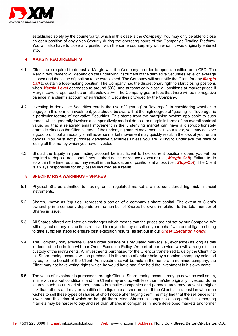

established solely by the counterparty, which in this case is the *Company*. You may only be able to close an open position of any given Security during the operating hours of the Company's Trading Platform. You will also have to close any position with the same counterparty with whom it was originally entered into.

# **4. MARGIN REQUIREMENTS**

- 4.1 Clients are required to deposit a Margin with the Company in order to open a position on a CFD. The Margin requirement will depend on the underlying instrument of the derivative Securities, level of leverage chosen and the value of position to be established. The Company will not notify the Client for any *Margin Call* to sustain a loss-making position. The Company has the discretionary right to start closing positions when **Margin Level** decreases to around 50%, and automatically close all positions at market prices if Margin Level drops reaches or falls below 20%. The Company guarantees that there will be no negative balance in a client's account when trading in Securities provided by the Company.
- 4.2 Investing in derivative Securities entails the use of "gearing" or "leverage". In considering whether to engage in this form of investment, you should be aware that the high degree of "gearing" or "leverage" is a particular feature of derivative Securities. This stems from the margining system applicable to such trades, which generally involves a comparatively modest deposit or margin in terms of the overall contract value, so that a relatively small movement in the underlying market can have a disproportionately dramatic effect on the Client's trade. If the underlying market movement is in your favor, you may achieve a good profit, but an equally small adverse market movement may quickly result in the loss of your entire deposit. You must not purchase derivative Securities unless you are willing to undertake the risks of losing all the money which you have invested.
- 4.3 Should the Equity in your trading account be insufficient to hold current positions open, you will be required to deposit additional funds at short notice or reduce exposure (i.e., *Margin Call*). Failure to do so within the time required may result in the liquidation of positions at a loss (i.e., *Stop-Out*). The Client is always responsible for any losses incurred as a result.

#### **5. SPECIFIC RISK WARNINGS – SHARES**

- 5.1 Physical Shares admitted to trading on a regulated market are not considered high-risk financial instruments.
- 5.2 Shares, known as 'equities', represent a portion of a company's share capital. The extent of Client's ownership in a company depends on the number of Shares he owns in relation to the total number of Shares in issue.
- 5.3 All Shares offered are listed on exchanges which means that the prices are not set by our Company. We will only act on any instructions received from you to buy or sell on your behalf with our obligation being to take sufficient steps to ensure best execution results, as set out in our *Order Execution Policy*.
- 5.4 The Company may execute Client's order outside of a regulated market (i.e., exchange) as long as this is deemed to be in line with our Order Execution Policy. As part of our service, we will arrange for the custody of the instruments. All investments purchased for the Client or transferred to us by the Client into his Share trading account will be purchased in the name of and/or held by a nominee company selected by us, for the benefit of the Client. As investments will be held in the name of a nominee company, the Client may not have voting rights which he would have had if he held the investment in his own name.
- 5.5 The value of investments purchased through Client's Share trading account may go down as well as up, in line with market conditions, and the Client may end up with less than he/she originally invested. Some shares, such as unlisted shares, shares in smaller companies and penny shares may present a higher risk than others and may prove difficult to liquidate at short notice. If the Client is in a position where he wishes to sell these types of shares at short notice after buying them, he may find that the sell price is far lower than the price at which he bought them. Also, Shares in companies incorporated in emerging markets may be harder to buy and sell than Shares in companies in more developed markets and former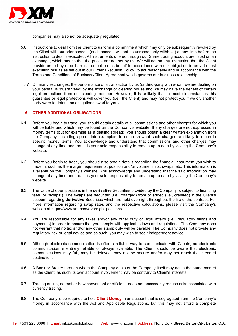

companies may also not be adequately regulated.

- 5.6 Instructions to deal from the Client to us form a commitment which may only be subsequently revoked by the Client with our prior consent (such consent will not be unreasonably withheld) at any time before the instruction to deal is executed. All instruments offered through our Share trading account are listed on an exchange, which means that the prices are not set by us. We will act on any instruction that the Client provide us to buy or sell an instrument on his behalf in accordance with our obligation to provide best execution results as set out in our Order Execution Policy, to act reasonably and in accordance with the Terms and Conditions of Business/Client Agreement which governs our business relationship.
- 5.7 On many exchanges, the performance of a transaction by us (or third-party with whom we are dealing on your behalf) is 'guaranteed' by the exchange or clearing house and we may have the benefit of certain legal protections from our clearing member. However, it is unlikely that in most circumstances this guarantee or legal protections will cover you (i.e., the Client) and may not protect you if we or, another party were to default on obligations owed to **you.**

#### **6. OTHER ADDITIONAL OBLIGATIONS**

- 6.1 Before you begin to trade, you should obtain details of all commissions and other charges for which you will be liable and which may be found on the Company's website. If any charges are not expressed in money terms (but for example as a dealing spread), you should obtain a clear written explanation from the Company, including appropriate examples, to establish what such charges are likely to mean in specific money terms. You acknowledge and understand that commissions and other charges may change at any time and that it is your sole responsibility to remain up to date by visiting the Company's website.
- 6.2 Before you begin to trade, you should also obtain details regarding the financial instrument you wish to trade in, such as the margin requirements, position and/or volume limits, swaps, etc. This information is available on the Company's website. You acknowledge and understand that the said information may change at any time and that it is your sole responsibility to remain up to date by visiting the Company's website.
- 6.3 The value of open positions in the **derivative** Securities provided by the Company is subject to financing fees (or "swaps"). The swaps are deducted (i.e., charged) from or added (i.e., credited) in the Client's account regarding **derivative** Securities which are held overnight throughout the life of the contract. For more information regarding swap rates and the respective calculations, please visit the Company's website at https://www.xm.com/overnight-positions.
- 6.4 You are responsible for any taxes and/or any other duty or legal affairs (i.e., regulatory filings and payments) in order to ensure that you comply with applicable laws and regulations. The Company does not warrant that no tax and/or any other stamp duty will be payable. The Company does not provide any regulatory, tax or legal advice and as such, you may wish to seek independent advice.
- 6.5 Although electronic communication is often a reliable way to communicate with Clients, no electronic communication is entirely reliable or always available. The Client should be aware that electronic communications may fail, may be delayed, may not be secure and/or may not reach the intended destination.
- 6.6 A Bank or Broker through whom the Company deals or the Company itself may act in the same market as the Client, as such its own account involvement may be contrary to Client's interests.
- 6.7 Trading online, no matter how convenient or efficient, does not necessarily reduce risks associated with currency trading.
- 6.8 The Company is be required to hold **Client Money** in an account that is segregated from the Company's money in accordance with the Act and Applicable Regulations, but this may not afford a complete